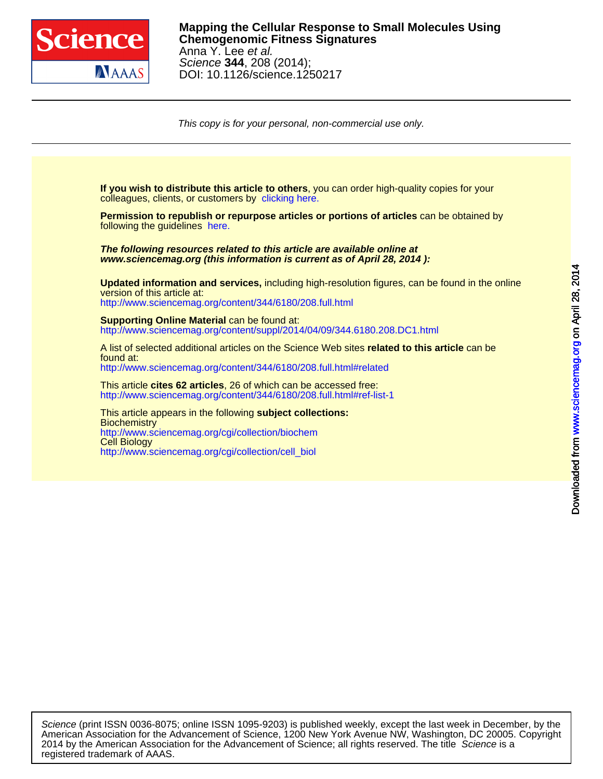

This copy is for your personal, non-commercial use only.

colleagues, clients, or customers by [clicking here.](http://www.sciencemag.org/about/permissions.dtl) **If you wish to distribute this article to others**, you can order high-quality copies for your following the guidelines [here.](http://www.sciencemag.org/about/permissions.dtl) **Permission to republish or repurpose articles or portions of articles** can be obtained by **www.sciencemag.org (this information is current as of April 28, 2014 ): The following resources related to this article are available online at** <http://www.sciencemag.org/content/344/6180/208.full.html> version of this article at: **Updated information and services,** including high-resolution figures, can be found in the online [http://www.sciencemag.org/content/suppl/2014/04/09/344.6180.208.DC1.html](http://www.sciencemag.org/content/suppl/2014/04/09/344.6180.208.DC1.html )  **Supporting Online Material can be found at:** <http://www.sciencemag.org/content/344/6180/208.full.html#related> found at: A list of selected additional articles on the Science Web sites **related to this article** can be <http://www.sciencemag.org/content/344/6180/208.full.html#ref-list-1> This article **cites 62 articles**, 26 of which can be accessed free: [http://www.sciencemag.org/cgi/collection/cell\\_biol](http://www.sciencemag.org/cgi/collection/cell_biol) Cell Biology <http://www.sciencemag.org/cgi/collection/biochem> **Biochemistry** This article appears in the following **subject collections:**

registered trademark of AAAS. 2014 by the American Association for the Advancement of Science; all rights reserved. The title Science is a American Association for the Advancement of Science, 1200 New York Avenue NW, Washington, DC 20005. Copyright Science (print ISSN 0036-8075; online ISSN 1095-9203) is published weekly, except the last week in December, by the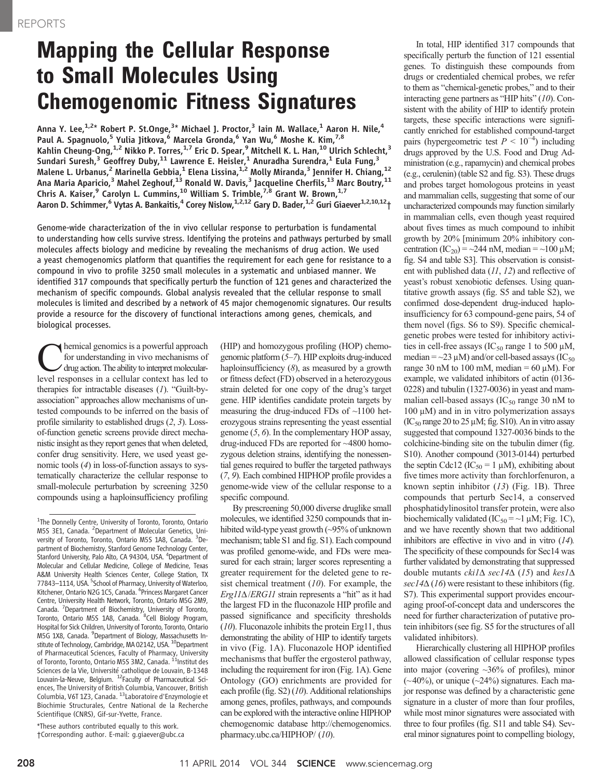## **Mapping the Cellular Response<br>to Small Molecules Using Chemogenomic Fitness Signatures**

Anna Y. Lee,<sup>1,2\*</sup> Robert P. St.Onge,<sup>3\*</sup> Michael J. Proctor,<sup>3</sup> Iain M. Wallace,<sup>1</sup> Aaron H. Nile,<sup>4</sup> Paul A. Spagnuolo,<sup>5</sup> Yulia Jitkova,<sup>6</sup> Marcela Gronda,<sup>6</sup> Yan Wu,<sup>6</sup> Moshe K. Kim,<sup>7,8</sup> Kahlin Cheung-Ong, $^{1,2}$  Nikko P. Torres, $^{1,7}$  Eric D. Spear, $^9$  Mitchell K. L. Han, $^{10}$  Ulrich Schlecht, $^3$ Sundari Suresh, $^3$  Geoffrey Duby, $^{11}$  Lawrence E. Heisler, $^1$  Anuradha Surendra, $^1$  Eula Fung, $^3$ Malene L. Urbanus, $^2$  Marinella Gebbia, $^1$  Elena Lissina, $^{1,2}$  Molly Miranda, $^3$  Jennifer H. Chiang, $^{12}$ Ana Maria Aparicio, $^3$  Mahel Zeghouf, $^{13}$  Ronald W. Davis, $^3$  Jacqueline Cherfils, $^{13}$  Marc Boutry, $^{11}$ Chris A. Kaiser,<sup>9</sup> Carolyn L. Cummins,<sup>10</sup> William S. Trimble,<sup>7,8</sup> Grant W. Brown,<sup>1,7</sup> Aaron D. Schimmer,<sup>6</sup> Vytas A. Bankaitis,<sup>4</sup> Corey Nislow,<sup>1,2,12</sup> Gary D. Bader,<sup>1,2</sup> Guri Giaever<sup>1,2,10,12</sup>†

Genome-wide characterization of the in vivo cellular response to perturbation is fundamental to understanding how cells survive stress. Identifying the proteins and pathways perturbed by small molecules affects biology and medicine by revealing the mechanisms of drug action. We used a yeast chemogenomics platform that quantifies the requirement for each gene for resistance to a compound in vivo to profile 3250 small molecules in a systematic and unbiased manner. We identified 317 compounds that specifically perturb the function of 121 genes and characterized the mechanism of specific compounds. Global analysis revealed that the cellular response to small molecules is limited and described by a network of 45 major chemogenomic signatures. Our results provide a resource for the discovery of functional interactions among genes, chemicals, and biological processes.

Chemical genomics is a powerful approach for understanding in vivo mechanisms of drug action. The ability to interpret molecularlevel responses in a cellular context has led to therapies for intractable diseases (1). "Guilt-byassociation" approaches allow mechanisms of untested compounds to be inferred on the basis of profile similarity to established drugs (2, 3). Lossof-function genetic screens provide direct mechanistic insight as they report genes that when deleted, confer drug sensitivity. Here, we used yeast genomic tools (4) in loss-of-function assays to systematically characterize the cellular response to small-molecule perturbation by screening 3250 compounds using a haploinsufficiency profiling

\*These authors contributed equally to this work. †Corresponding author. E-mail: g.giaever@ubc.ca (HIP) and homozygous profiling (HOP) chemogenomic platform (5–7). HIP exploits drug-induced haploinsufficiency  $(8)$ , as measured by a growth or fitness defect (FD) observed in a heterozygous strain deleted for one copy of the drug's target gene. HIP identifies candidate protein targets by measuring the drug-induced FDs of ~1100 heterozygous strains representing the yeast essential genome (5, 6). In the complementary HOP assay, drug-induced FDs are reported for ~4800 homozygous deletion strains, identifying the nonessential genes required to buffer the targeted pathways (7, 9). Each combined HIPHOP profile provides a genome-wide view of the cellular response to a specific compound.

By prescreening 50,000 diverse druglike small molecules, we identified 3250 compounds that inhibited wild-type yeast growth (~95% of unknown mechanism; table S1 and fig. S1). Each compound was profiled genome-wide, and FDs were measured for each strain; larger scores representing a greater requirement for the deleted gene to resist chemical treatment  $(10)$ . For example, the  $Erg11\Delta/ERG11$  strain represents a "hit" as it had the largest FD in the fluconazole HIP profile and passed significance and specificity thresholds (10). Fluconazole inhibits the protein Erg11, thus demonstrating the ability of HIP to identify targets in vivo (Fig. 1A). Fluconazole HOP identified mechanisms that buffer the ergosterol pathway, including the requirement for iron (Fig. 1A). Gene Ontology (GO) enrichments are provided for each profile (fig. S2) (10). Additional relationships among genes, profiles, pathways, and compounds can be explored with the interactive online HIPHOP chemogenomic database http://chemogenomics. pharmacy.ubc.ca/HIPHOP/ (10).

In total, HIP identified 317 compounds that specifically perturb the function of 121 essential genes. To distinguish these compounds from drugs or credentialed chemical probes, we refer to them as "chemical-genetic probes," and to their interacting gene partners as "HIP hits" (10). Consistent with the ability of HIP to identify protein targets, these specific interactions were significantly enriched for established compound-target pairs (hypergeometric test  $P \le 10^{-4}$ ) including<br>drugs approved by the U.S. Eood and Drug Addrugs approved by the U.S. Food and Drug Administration (e.g., rapamycin) and chemical probes (e.g., cerulenin) (table S2 and fig. S3). These drugs and probes target homologous proteins in yeast and mammalian cells, suggesting that some of our uncharacterized compounds may function similarly in mammalian cells, even though yeast required about fives times as much compound to inhibit growth by 20% [minimum 20% inhibitory concentration  $(IC_{20}) = 244$  nM, median = ~100  $\mu$ M; fig. S4 and table S3]. This observation is consistent with published data (11, 12) and reflective of yeast's robust xenobiotic defenses. Using quantitative growth assays (fig. S5 and table S2), we confirmed dose-dependent drug-induced haploinsufficiency for 63 compound-gene pairs, 54 of them novel (figs. S6 to S9). Specific chemicalgenetic probes were tested for inhibitory activities in cell-free assays (IC<sub>50</sub> range 1 to 500  $\mu$ M, median =  $\sim$ 23 µM) and/or cell-based assays (IC<sub>50</sub>) range 30 nM to 100 mM, median = 60  $\mu$ M). For example, we validated inhibitors of actin (0136- 0228) and tubulin (1327-0036) in yeast and mammalian cell-based assays  $(IC_{50}$  range 30 nM to  $100 \mu M$ ) and in in vitro polymerization assays  $(IC_{50}$  range 20 to 25  $\mu$ M; fig. S10). An in vitro assay suggested that compound 1327-0036 binds to the colchicine-binding site on the tubulin dimer (fig. S10). Another compound (3013-0144) perturbed the septin Cdc12 (IC<sub>50</sub> = 1  $\mu$ M), exhibiting about five times more activity than forchlorfenuron, a known septin inhibitor  $(13)$  (Fig. 1B). Three compounds that perturb Sec14, a conserved phosphatidylinositol transfer protein, were also biochemically validated (IC<sub>50</sub> = ~1  $\mu$ M; Fig. 1C), and we have recently shown that two additional inhibitors are effective in vivo and in vitro (14). The specificity of these compounds for Sec14 was further validated by demonstrating that suppressed double mutants  $ckil\Delta$  sec14 $\Delta$  (15) and kes1 $\Delta$  $sec14\Delta(16)$  were resistant to these inhibitors (fig. S7). This experimental support provides encouraging proof-of-concept data and underscores the need for further characterization of putative protein inhibitors (see fig. S5 for the structures of all validated inhibitors).

Hierarchically clustering all HIPHOP profiles allowed classification of cellular response types into major (covering ~36% of profiles), minor  $(\sim 40\%)$ , or unique  $(\sim 24\%)$  signatures. Each major response was defined by a characteristic gene signature in a cluster of more than four profiles, while most minor signatures were associated with three to four profiles (fig. S11 and table S4). Several minor signatures point to compelling biology,

<sup>&</sup>lt;sup>1</sup>The Donnelly Centre, University of Toronto, Toronto, Ontario M5S 3E1, Canada. <sup>2</sup>Department of Molecular Genetics, University of Toronto, Toronto, Ontario M5S 1A8, Canada. <sup>3</sup>Department of Biochemistry, Stanford Genome Technology Center, .<br>Stanford University, Palo Alto, CA 94304, USA. <sup>4</sup>Department of Molecular and Cellular Medicine, College of Medicine, Texas A&M University Health Sciences Center, College Station, TX 77843-1114, USA. <sup>5</sup>School of Pharmacy, University of Waterloo, Kitchener, Ontario N2G 1C5, Canada. <sup>6</sup> Princess Margaret Cancer Centre, University Health Network, Toronto, Ontario M5G 2M9, Canada. <sup>7</sup> Department of Biochemistry, University of Toronto, Toronto, Ontario M5S 1A8, Canada. <sup>8</sup>Cell Biology Program, Hospital for Sick Children, University of Toronto, Toronto, Ontario M5G 1X8, Canada. <sup>9</sup>Department of Biology, Massachusetts Institute of Technology, Cambridge, MA 02142, USA. <sup>10</sup>Department of Pharmaceutical Sciences, Faculty of Pharmacy, University<br>of Toronto, Toronto, Ontario M5S 3M2, Canada. <sup>11</sup>Institut des Sciences de la Vie, Université catholique de Louvain, B-1348 Louvain-la-Neuve, Belgium. 12Faculty of Pharmaceutical Sciences, The University of British Columbia, Vancouver, British Columbia, V6T 1Z3, Canada. <sup>13</sup>Laboratoire d'Enzymologie et Biochimie Structurales, Centre National de la Recherche Scientifique (CNRS), Gif-sur-Yvette, France.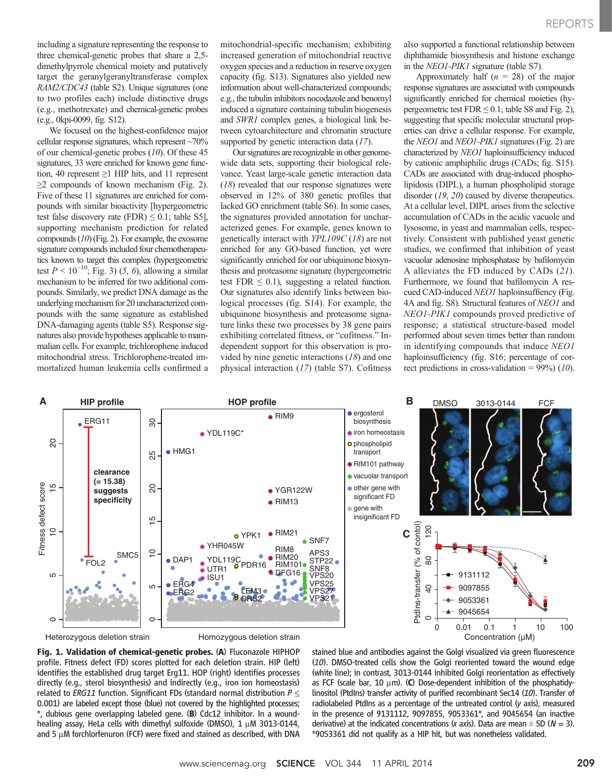including a signature representing the response to three chemical-genetic probes that share a 2,5 dimethylpyrrole chemical moiety and putatively target the geranylgeranyltransferase complex RAM2/CDC43 (table S2). Unique signatures (one to two profiles each) include distinctive drugs (e.g., methotrexate) and chemical-genetic probes (e.g., 0kpi-0099, fig. S12).

We focused on the highest-confidence major cellular response signatures, which represent ~70% of our chemical-genetic probes  $(10)$ . Of these 45 signatures, 33 were enriched for known gene function, 40 represent ≥1 HIP hits, and 11 represent  $\geq$  2 compounds of known mechanism (Fig. 2). Five of these 11 signatures are enriched for compounds with similar bioactivity [hypergeometric test false discovery rate (FDR)  $\leq$  0.1; table S5], supporting mechanism prediction for related compounds (10) (Fig. 2). For example, the exosome signature compounds included four chemotherapeutics known to target this complex (hypergeometric test  $P < 10^{-10}$ ; Fig. 3) (5, 6), allowing a similar mechanism to be inferred for two additional compounds. Similarly, we predict DNA damage as the underlying mechanism for 20 uncharacterized compounds with the same signature as established DNA-damaging agents (table S5). Response signatures also provide hypotheses applicable to mammalian cells. For example, trichlorophene induced mitochondrial stress. Trichlorophene-treated immortalized human leukemia cells confirmed a mitochondrial-specific mechanism; exhibiting increased generation of mitochondrial reactive oxygen species and a reduction in reserve oxygen capacity (fig. S13). Signatures also yielded new information about well-characterized compounds; e.g., the tubulin inhibitors nocodazole and benomyl induced a signature containing tubulin biogenesis and SWR1 complex genes, a biological link between cytoarchitecture and chromatin structure supported by genetic interaction data (17).

Our signatures are recognizable in other genomewide data sets, supporting their biological relevance. Yeast large-scale genetic interaction data (18) revealed that our response signatures were observed in 12% of 380 genetic profiles that lacked GO enrichment (table S6). In some cases, the signatures provided annotation for uncharacterized genes. For example, genes known to genetically interact with YPL109C (18) are not enriched for any GO-based function, yet were significantly enriched for our ubiquinone biosynthesis and proteasome signature (hypergeometric test FDR  $\leq$  0.1), suggesting a related function. Our signatures also identify links between biological processes (fig. S14). For example, the ubiquinone biosynthesis and proteasome signature links these two processes by 38 gene pairs exhibiting correlated fitness, or "cofitness." Independent support for this observation is provided by nine genetic interactions (18) and one physical interaction (17) (table S7). Cofitness also supported a functional relationship between diphthamide biosynthesis and histone exchange in the NEO1-PIK1 signature (table S7).

Approximately half  $(n = 28)$  of the major response signatures are associated with compounds significantly enriched for chemical moieties (hypergeometric test  $FDR \le 0.1$ ; table S8 and Fig. 2), suggesting that specific molecular structural properties can drive a cellular response. For example, the NEO1 and NEO1-PIK1 signatures (Fig. 2) are characterized by NEO1 haploinsufficiency induced by cationic amphiphilic drugs (CADs; fig. S15). CADs are associated with drug-induced phospholipidosis (DIPL), a human phospholipid storage disorder (19, 20) caused by diverse therapeutics. At a cellular level, DIPL arises from the selective accumulation of CADs in the acidic vacuole and lysosome, in yeast and mammalian cells, respectively. Consistent with published yeast genetic studies, we confirmed that inhibition of yeast vacuolar adenosine triphosphatase by bafilomycin A alleviates the FD induced by CADs (21). Furthermore, we found that bafilomycin A rescued CAD-induced NEO1 haploinsuffiency (Fig. 4A and fig. S8). Structural features of NEO1 and NEO1-PIK1 compounds proved predictive of response; a statistical structure-based model performed about seven times better than random in identifying compounds that induce NEO1 haploinsufficiency (fig. S16; percentage of correct predictions in cross-validation =  $99\%$ ) (10).



Fig. 1. Validation of chemical-genetic probes. (A) Fluconazole HIPHOP profile. Fitness defect (FD) scores plotted for each deletion strain. HIP (left) identifies the established drug target Erg11. HOP (right) identifies processes directly (e.g., sterol biosynthesis) and indirectly (e.g., iron ion homeostasis) related to ERG11 function. Significant FDs (standard normal distribution  $P \leq$ 0.001) are labeled except those (blue) not covered by the highlighted processes; \*, dubious gene overlapping labeled gene. (B) Cdc12 inhibitor. In a woundhealing assay, HeLa cells with dimethyl sulfoxide (DMSO),  $1 \mu$ M 3013-0144, and 5  $\mu$ M forchlorfenuron (FCF) were fixed and stained as described, with DNA stained blue and antibodies against the Golgi visualized via green fluorescence (10). DMSO-treated cells show the Golgi reoriented toward the wound edge (white line); in contrast, 3013-0144 inhibited Golgi reorientation as effectively as FCF (scale bar, 10  $\mu$ m). (C) Dose-dependent inhibition of the phosphatidylinositol (PtdIns) transfer activity of purified recombinant Sec14 (10). Transfer of radiolabeled PtdIns as a percentage of the untreated control (y axis), measured in the presence of 9131112, 9097855, 9053361\*, and 9045654 (an inactive derivative) at the indicated concentrations (x axis). Data are mean  $\pm$  SD ( $N = 3$ ). \*9053361 did not qualify as a HIP hit, but was nonetheless validated.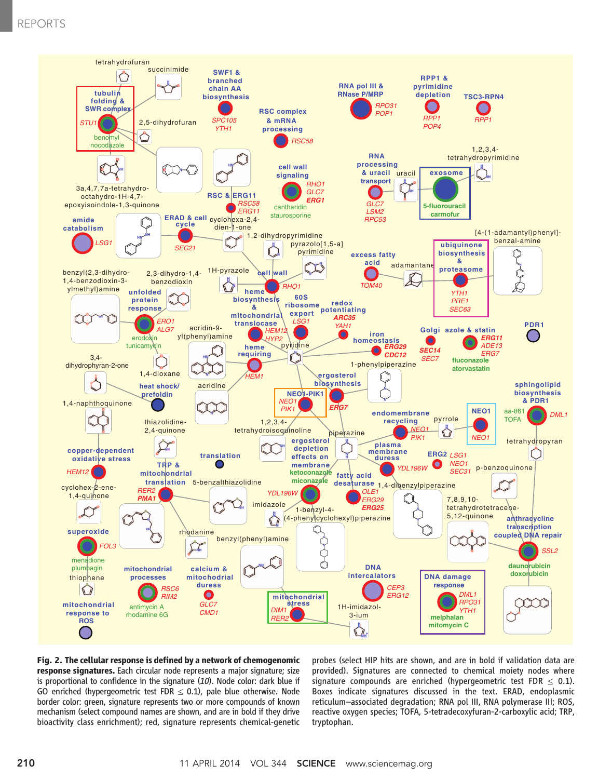## REPORTS



Fig. 2. The cellular response is defined by a network of chemogenomic response signatures. Each circular node represents a major signature; size is proportional to confidence in the signature  $(10)$ . Node color: dark blue if GO enriched (hypergeometric test FDR  $\leq$  0.1), pale blue otherwise. Node border color: green, signature represents two or more compounds of known mechanism (select compound names are shown, and are in bold if they drive bioactivity class enrichment); red, signature represents chemical-genetic

probes (select HIP hits are shown, and are in bold if validation data are provided). Signatures are connected to chemical moiety nodes where signature compounds are enriched (hypergeometric test FDR  $\leq$  0.1). Boxes indicate signatures discussed in the text. ERAD, endoplasmic reticulum–associated degradation; RNA pol III, RNA polymerase III; ROS, reactive oxygen species; TOFA, 5-tetradecoxyfuran-2-carboxylic acid; TRP, tryptophan.